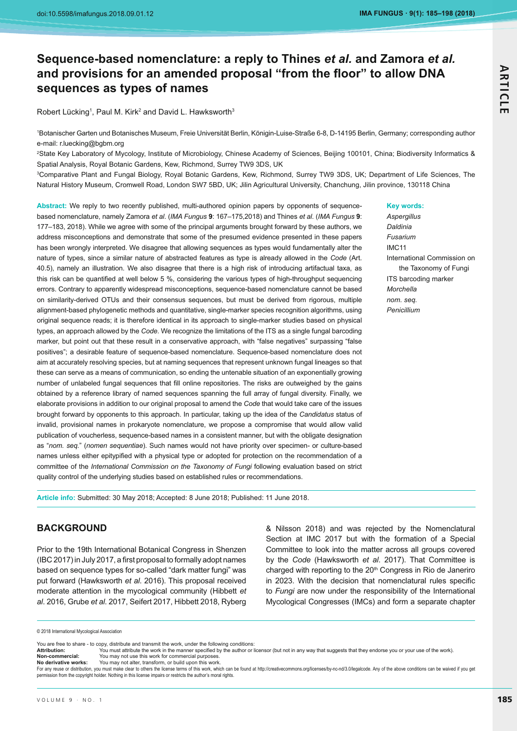# **Sequence-based nomenclature: a reply to Thines** *et al.* **and Zamora** *et al.* and provisions for an amended proposal "from the floor" to allow DNA **sequences as types of names**

Robert Lücking<sup>1</sup>, Paul M. Kirk<sup>2</sup> and David L. Hawksworth<sup>3</sup>

1 Botanischer Garten und Botanisches Museum, Freie Universität Berlin, Königin-Luise-Straße 6-8, D-14195 Berlin, Germany; corresponding author e-mail: r.luecking@bgbm.org

2 State Key Laboratory of Mycology, Institute of Microbiology, Chinese Academy of Sciences, Beijing 100101, China; Biodiversity Informatics & Spatial Analysis, Royal Botanic Gardens, Kew, Richmond, Surrey TW9 3DS, UK

3 Comparative Plant and Fungal Biology, Royal Botanic Gardens, Kew, Richmond, Surrey TW9 3DS, UK; Department of Life Sciences, The Natural History Museum, Cromwell Road, London SW7 5BD, UK; Jilin Agricultural University, Chanchung, Jilin province, 130118 China

**Abstract:** We reply to two recently published, multi-authored opinion papers by opponents of sequencebased nomenclature, namely Zamora et al. (IMA Fungus 9: 167-175,2018) and Thines et al. (IMA Fungus 9: 177–183, 2018). While we agree with some of the principal arguments brought forward by these authors, we address misconceptions and demonstrate that some of the presumed evidence presented in these papers has been wrongly interpreted. We disagree that allowing sequences as types would fundamentally alter the nature of types, since a similar nature of abstracted features as type is already allowed in the *Code* (Art. 40.5), namely an illustration. We also disagree that there is a high risk of introducing artifactual taxa, as this risk can be quantified at well below 5 %, considering the various types of high-throughput sequencing errors. Contrary to apparently widespread misconceptions, sequence-based nomenclature cannot be based on similarity-derived OTUs and their consensus sequences, but must be derived from rigorous, multiple alignment-based phylogenetic methods and quantitative, single-marker species recognition algorithms, using original sequence reads; it is therefore identical in its approach to single-marker studies based on physical types, an approach allowed by the *Code*. We recognize the limitations of the ITS as a single fungal barcoding marker, but point out that these result in a conservative approach, with "false negatives" surpassing "false positives"; a desirable feature of sequence-based nomenclature. Sequence-based nomenclature does not aim at accurately resolving species, but at naming sequences that represent unknown fungal lineages so that these can serve as a means of communication, so ending the untenable situation of an exponentially growing number of unlabeled fungal sequences that fill online repositories. The risks are outweighed by the gains obtained by a reference library of named sequences spanning the full array of fungal diversity. Finally, we elaborate provisions in addition to our original proposal to amend the *Code* that would take care of the issues brought forward by opponents to this approach. In particular, taking up the idea of the *Candidatus* status of invalid, provisional names in prokaryote nomenclature, we propose a compromise that would allow valid publication of voucherless, sequence-based names in a consistent manner, but with the obligate designation as "*nom. seq.*" (*nomen sequentiae*). Such names would not have priority over specimen- or culture-based names unless either epitypified with a physical type or adopted for protection on the recommendation of a committee of the *International Commission on the Taxonomy of Fungi* following evaluation based on strict quality control of the underlying studies based on established rules or recommendations.

#### **Key words:**

*Aspergillus Daldinia Fusarium* IMC11 International Commission on the Taxonomy of Fungi ITS barcoding marker *Morchella nom. seq. Penicillium*

**Article info:** Submitted: 30 May 2018; Accepted: 8 June 2018; Published: 11 June 2018.

# **BACKGROUND**

Prior to the 19th International Botanical Congress in Shenzen (IBC 2017) in July 2017, a first proposal to formally adopt names based on sequence types for so-called "dark matter fungi" was put forward (Hawksworth *et al*. 2016). This proposal received moderate attention in the mycological community (Hibbett *et al*. 2016, Grube *et al*. 2017, Seifert 2017, Hibbett 2018, Ryberg

& Nilsson 2018) and was rejected by the Nomenclatural Section at IMC 2017 but with the formation of a Special Committee to look into the matter across all groups covered by the *Code* (Hawksworth *et al*. 2017). That Committee is charged with reporting to the 20<sup>th</sup> Congress in Rio de Janeriro in 2023. With the decision that nomenclatural rules specific to *Fungi* are now under the responsibility of the International Mycological Congresses (IMCs) and form a separate chapter

You are free to share - to copy, distribute and transmit the work, under the following conditions:

You may not use this work for commercial purposes.

Non-commercial:<br>No derivative works: You may not alter, transform, or build upon this work. -<br>For any reuse or distribution, you must make clear to others the license terms of this work, which can be found at http://creativecommons.org/licenses/by-nc-nd/3.0/legalcode. Any of the above conditions can be waived if

<sup>© 2018</sup> International Mycological Association

**Attribution:**-You must attribute the work in the manner specified by the author or licensor (but not in any way that suggests that they endorse you or your use of the work). **Non-commercial:**-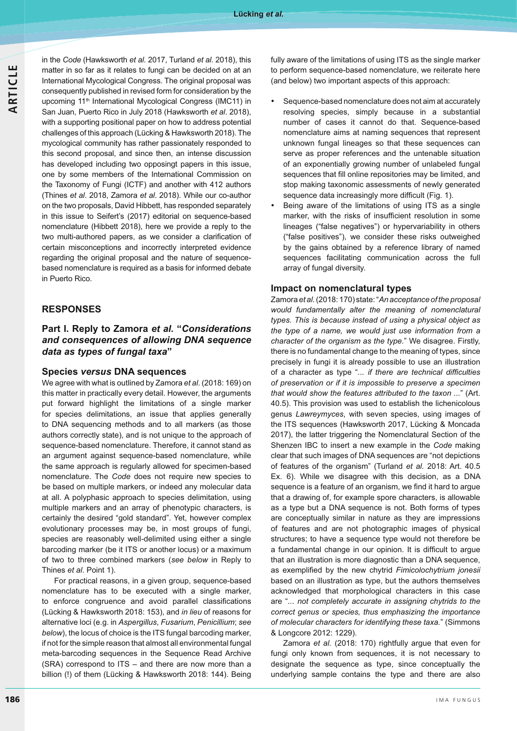in the *Code* (Hawksworth *et al*. 2017, Turland *et al.* 2018), this matter in so far as it relates to fungi can be decided on at an International Mycological Congress. The original proposal was consequently published in revised form for consideration by the upcoming 11<sup>th</sup> International Mycological Congress (IMC11) in San Juan, Puerto Rico in July 2018 (Hawksworth *et al*. 2018), with a supporting positional paper on how to address potential challenges of this approach (Lücking & Hawksworth 2018). The mycological community has rather passionately responded to this second proposal, and since then, an intense discussion has developed including two opposingt papers in this issue, one by some members of the International Commission on the Taxonomy of Fungi (ICTF) and another with 412 authors (Thines *et al*. 2018, Zamora *et al*. 2018). While our co-author on the two proposals, David Hibbett, has responded separately in this issue to Seifert's (2017) editorial on sequence-based nomenclature (Hibbett 2018), here we provide a reply to the two multi-authored papers, as we consider a clarification of certain misconceptions and incorrectly interpreted evidence regarding the original proposal and the nature of sequencebased nomenclature is required as a basis for informed debate in Puerto Rico.

# **RESPONSES**

**Part I. Reply to Zamora** *et al.* **"***Considerations and consequences of allowing DNA sequence data as types of fungal taxa***"**

#### **Species** *versus* **DNA sequences**

We agree with what is outlined by Zamora *et al*. (2018: 169) on this matter in practically every detail. However, the arguments put forward highlight the limitations of a single marker for species delimitations, an issue that applies generally to DNA sequencing methods and to all markers (as those authors correctly state), and is not unique to the approach of sequence-based nomenclature. Therefore, it cannot stand as an argument against sequence-based nomenclature, while the same approach is regularly allowed for specimen-based nomenclature. The *Code* does not require new species to be based on multiple markers, or indeed any molecular data at all. A polyphasic approach to species delimitation, using multiple markers and an array of phenotypic characters, is certainly the desired "gold standard". Yet, however complex evolutionary processes may be, in most groups of fungi, species are reasonably well-delimited using either a single barcoding marker (be it ITS or another locus) or a maximum of two to three combined markers (*see below* in Reply to Thines *et al*. Point 1).

For practical reasons, in a given group, sequence-based nomenclature has to be executed with a single marker, to enforce congruence and avoid parallel classifications (Lücking & Hawksworth 2018: 153), and *in lieu* of reasons for alternative loci (e.g. in *Aspergillus*, *Fusarium*, *Penicillium*; *see below*), the locus of choice is the ITS fungal barcoding marker, if not for the simple reason that almost all environmental fungal meta-barcoding sequences in the Sequence Read Archive (SRA) correspond to ITS – and there are now more than a billion (!) of them (Lücking & Hawksworth 2018: 144). Being

fully aware of the limitations of using ITS as the single marker to perform sequence-based nomenclature, we reiterate here (and below) two important aspects of this approach:

- - Sequence-based nomenclature does not aim at accurately resolving species, simply because in a substantial number of cases it cannot do that. Sequence-based nomenclature aims at naming sequences that represent unknown fungal lineages so that these sequences can serve as proper references and the untenable situation of an exponentially growing number of unlabeled fungal sequences that fill online repositories may be limited, and stop making taxonomic assessments of newly generated sequence data increasingly more difficult (Fig. 1).
- - Being aware of the limitations of using ITS as a single marker, with the risks of insufficient resolution in some lineages ("false negatives") or hypervariability in others ("false positives"), we consider these risks outweighed by the gains obtained by a reference library of named sequences facilitating communication across the full array of fungal diversity.

#### **Impact on nomenclatural types**

Zamora *et al.* (2018: 170) state: "*An acceptance of the proposal would fundamentally alter the meaning of nomenclatural types. This is because instead of using a physical object as the type of a name, we would just use information from a character of the organism as the type.*" We disagree. Firstly, there is no fundamental change to the meaning of types, since precisely in fungi it is already possible to use an illustration of a character as type "... if there are technical difficulties *of preservation or if it is impossible to preserve a specimen that would show the features attributed to the taxon ...*" (Art. 40.5). This provision was used to establish the lichenicolous genus *Lawreymyces*, with seven species, using images of the ITS sequences (Hawksworth 2017, Lücking & Moncada 2017), the latter triggering the Nomenclatural Section of the Shenzen IBC to insert a new example in the *Code* making clear that such images of DNA sequences are "not depictions of features of the organism" (Turland *et al.* 2018: Art. 40.5 Ex. 6). While we disagree with this decision, as a DNA sequence is a feature of an organism, we find it hard to argue that a drawing of, for example spore characters, is allowable as a type but a DNA sequence is not. Both forms of types are conceptually similar in nature as they are impressions of features and are not photographic images of physical structures; to have a sequence type would not therefore be a fundamental change in our opinion. It is difficult to argue that an illustration is more diagnostic than a DNA sequence, as exemplified by the new chytrid Fimicolochytrium jonesii based on an illustration as type, but the authors themselves acknowledged that morphological characters in this case are "*... not completely accurate in assigning chytrids to the correct genus or species, thus emphasizing the importance of molecular characters for identifying these taxa.*" (Simmons & Longcore 2012: 1229).

Zamora *et al.* (2018: 170) rightfully argue that even for fungi only known from sequences, it is not necessary to designate the sequence as type, since conceptually the underlying sample contains the type and there are also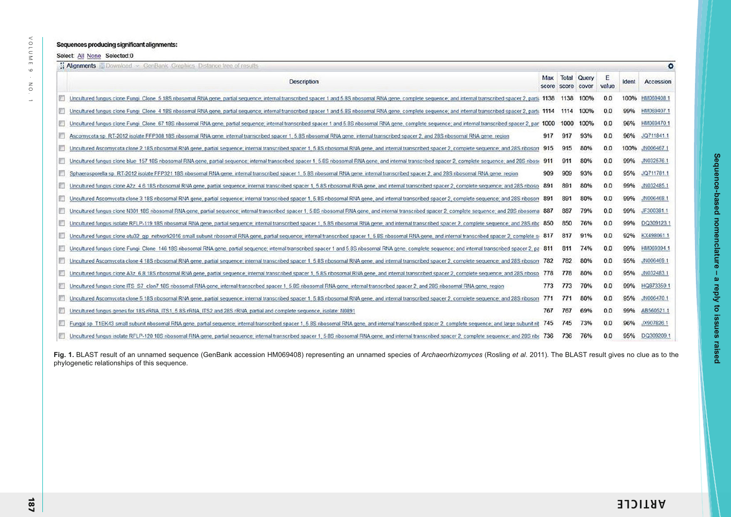### Sequences producing significant alignments:

Select: All None Selected:0

| 2. Aignments Download - GenBank Graphics Distance tree of results<br>۰                                                                                                                                       |              |       |                             |            |       |            |  |
|--------------------------------------------------------------------------------------------------------------------------------------------------------------------------------------------------------------|--------------|-------|-----------------------------|------------|-------|------------|--|
| Description                                                                                                                                                                                                  | Max<br>score | score | <b>Total Query</b><br>cover | E<br>value | Ident | Accession  |  |
| Uncultured fungus clone Fungi Clone 5 18S nbosomal RNA gene, partial sequence: internal transcribed spacer 1 and 5.8S ribosomal RNA gene, complete sequence; and internal transcribed spacer 2, parti- 1138  |              | 1138  | 100%                        | 0.0        | 100%  | HM069408.1 |  |
| Uncultured fungus clone Fungi Clone 4 18S ribosomal RNA gene, partial sequence; internal transcribed spacer 1 and 5.8S ribosomal RNA gene, complete sequence; and internal transcribed spacer 2, partia 1114 |              | 1114  | 100%                        | 0.0        | 99%   | HM069407.1 |  |
| Uncultured fungus clone Fungi Clone 67 18S ribosomal RNA gene, partial sequence; internal transcribed spacer 1 and 5 8S ribosomal RNA gene, complete sequence; and internal transcribed spacer 2, par 1000   |              | 1000  | 100%                        | 0.0        | 96%   | HM069470.1 |  |
| Ascomycota sp. RT-2012 isolate FFP308 18S ribosomal RNA gene, internal transcribed spacer 1, 5.8S ribosomal RNA gene, internal transcribed spacer 2, and 28S ribosomal RNA gene, region                      | 917          | 917   | 93%                         | 0.0        | 96%   | JQ711841.1 |  |
| Uncultured Ascomycota clone 2 18S ribosomal RNA gene, partial sequence: internal transcribed spacer 1, 5 8S ribosomal RNA gene, and internal transcribed spacer 2, complete sequence: and 28S ribosom        | 915          | 915   | 80%                         | 0.0        | 100%  | JN006467.1 |  |
| Uncultured fungus clone blue 157 18S ribosomal RNA gene, partial sequence; internal transcribed spacer 1, 5.8S ribosomal RNA gene, and internal transcribed spacer 2, complete sequence; and 28S riboso      | 911          | 911   | 80%                         | 0.0        | 99%   | JN0325761  |  |
| Sphaerosporella sp. RT-2012 isolate FFP321 18S ribosomal RNA gene, internal transcribed spacer 1, 5.8S ribosomal RNA gene, internal transcribed spacer 2, and 28S ribosomal RNA gene, region                 | 909          | 909   | 93%                         | 0.0        | 95%   | JQ711781.1 |  |
| Uncultured fungus clone A2z 4.6 18S nbosomal RNA gene, partial sequence; internal transcribed spacer 1, 5.8S nbosomal RNA gene, and internal transcribed spacer 2, complete sequence; and 28S nboso          | 891          | 891   | 80%                         | 0.0        | 99%   | JN032485.1 |  |
| Uncultured Ascomycota clone 3 18S ribosomal RNA gene, partial sequence; internal transcribed spacer 1, 5.8S ribosomal RNA gene, and internal transcribed spacer 2, complete sequence; and 28S ribosom        | 891          | 891   | 80%                         | 0.0        | 99%   | JN006468.1 |  |
| Uncultured fungus clone N301 18S ribosomal RNA gene, partial sequence: internal transcribed spacer 1, 5.8S ribosomal RNA gene, and internal transcribed spacer 2, complete sequence; and 28S ribosoma        | -887         | 887   | 79%                         | 0.0        | 99%   | JF300381.1 |  |
| Uncultured fungus isolate RFLP-119 18S ribosomal RNA gene, partial sequence; internal transcribed spacer 1, 5.8S ribosomal RNA gene, and internal transcribed spacer 2, complete sequence; and 28S ribc. 850 |              | 850   | 76%                         | 0.0        | 99%   | DQ309123.1 |  |
| Uncultured fungus clone otu32 gip network2016 small subunit ribosomal RNA gene, partial sequence; internal transcribed spacer 1; 5.8S nbosomal RNA gene, and internal transcribed spacer 2, complete si-817  |              | 817   | 91%                         | 0.0        | 92%   | KX498061.1 |  |
| Uncultured fungus clone Fungi. Clone: 146 18S ribosomal RNA gene, partial sequence; internal transcribed spacer 1 and 5.8S ribosomal RNA gene, complete sequence; and internal transcribed spacer 2, pa      |              | 811   | 74%                         | 0.0        | 99%   | HM069394.1 |  |
| Uncultured Ascomycota clone 4 18S ribosomal RNA gene, partial sequence; internal transcribed spacer 1, 5.8S ribosomal RNA gene, and internal transcribed spacer 2, complete sequence; and 28S ribosom 782    |              | 782   | 80%                         | 0.0        | 95%   | JN006469 1 |  |
| Uncultured fungus clone A3z 6.8 18S ribosomal RNA gene, partial sequence; internal transcribed spacer 1, 5.8S ribosomal RNA gene, and internal transcribed spacer 2, complete sequence; and 28S riboso.      | 778          | 778   | 80%                         | 0.0        | 95%   | JN032483.1 |  |
| Uncultured fungus clone ITS S7 clon7 18S ribosomal RNA gene, internal transcribed spacer 1, 5.8S ribosomal RNA gene, internal transcribed spacer 2, and 28S ribosomal RNA gene, region                       | 773          | 773   | 70%                         | 0.0        | 99%   | HQ873359.1 |  |
| Uncultured Ascomycota clone 5 18S ribosomal RNA gene, partial sequence; internal transcribed spacer 1, 5.8S ribosomal RNA gene, and internal transcribed spacer 2, complete sequence; and 28S riboson        | 771          | 771   | 80%                         | 0.0        | 95%   | JN006470.1 |  |
| Uncultured fungus genes for 18S rRNA, ITS1, 5.8S rRNA, ITS2 and 28S rRNA, partial and complete sequence, isolate: N0891                                                                                      | 767          | 767   | 69%                         | 0.0        | 99%   | AB5605211  |  |
| Fungal sp T1EK43 small subunit ribosomal RNA gene, partial sequence; internal transcribed spacer 1, 5.8S ribosomal RNA gene, and internal transcribed spacer 2, complete sequence; and large subunit rib     | 745          | 745   | 73%                         | 0.0        | 96%   | JX907826.1 |  |
| Uncultured fungus isolate RFLP-120 18S nbosomal RNA gene, partial sequence: internal transcribed spacer 1, 5.8S nbosomal RNA gene, and internal transcribed spacer 2, complete sequence: and 28S nbr         | 736          | 736   | 76%                         | 0.0        | 95%   | DQ309209.1 |  |

**Fig. 1.** BLAST result of an unnamed sequence (GenBank accession HM069408) representing an unnamed species of *Archaeorhizomyces* (Rosling *et al*. 2011). The BLAST result gives no clue as to the phylogenetic relationships of this sequence.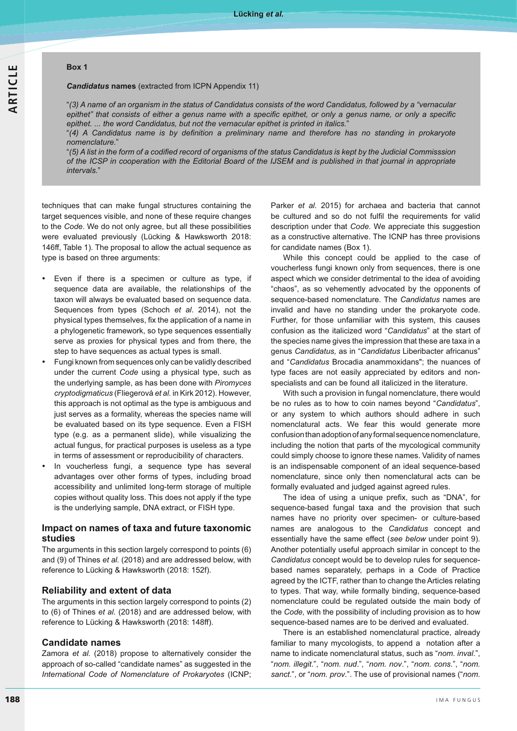#### **Box 1**

#### *Candidatus* **names** (extracted from ICPN Appendix 11)

"*(3) A name of an organism in the status of Candidatus consists of the word Candidatus, followed by a "vernacular*  epithet" that consists of either a genus name with a specific epithet, or only a genus name, or only a specific *epithet. ... the word Candidatus, but not the vernacular epithet is printed in italics.*"

"(4) A Candidatus name is by definition a preliminary name and therefore has no standing in prokaryote *nomenclature.*"

"(5) A list in the form of a codified record of organisms of the status Candidatus is kept by the Judicial Commisssion of the ICSP in cooperation with the Editorial Board of the IJSEM and is published in that journal in appropriate *intervals.*"

techniques that can make fungal structures containing the target sequences visible, and none of these require changes to the *Code*. We do not only agree, but all these possibilities were evaluated previously (Lücking & Hawksworth 2018: 146ff, Table 1). The proposal to allow the actual sequence as type is based on three arguments:

- - Even if there is a specimen or culture as type, if sequence data are available, the relationships of the taxon will always be evaluated based on sequence data. Sequences from types (Schoch *et al*. 2014), not the physical types themselves, fix the application of a name in a phylogenetic framework, so type sequences essentially serve as proxies for physical types and from there, the step to have sequences as actual types is small.
- - Fungi known from sequences only can be validly described under the current *Code* using a physical type, such as the underlying sample, as has been done with *Piromyces*  cryptodigmaticus (Fliegerová et al. in Kirk 2012). However, this approach is not optimal as the type is ambiguous and just serves as a formality, whereas the species name will be evaluated based on its type sequence. Even a FISH type (e.g. as a permanent slide), while visualizing the actual fungus, for practical purposes is useless as a type in terms of assessment or reproducibility of characters.
- - In voucherless fungi, a sequence type has several advantages over other forms of types, including broad accessibility and unlimited long-term storage of multiple copies without quality loss. This does not apply if the type is the underlying sample, DNA extract, or FISH type.

#### **Impact on names of taxa and future taxonomic studies**

The arguments in this section largely correspond to points (6) and (9) of Thines *et al.* (2018) and are addressed below, with reference to Lücking & Hawksworth (2018: 152f).

#### **Reliability and extent of data**

The arguments in this section largely correspond to points (2) to (6) of Thines *et al.* (2018) and are addressed below, with reference to Lücking & Hawksworth (2018: 148ff).

#### **Candidate names**

Zamora *et al.* (2018) propose to alternatively consider the approach of so-called "candidate names" as suggested in the International Code of Nomenclature of Prokaryotes (ICNP; Parker *et al.* 2015) for archaea and bacteria that cannot be cultured and so do not fulfil the requirements for valid description under that *Code*. We appreciate this suggestion as a constructive alternative. The ICNP has three provisions for candidate names (Box 1).

While this concept could be applied to the case of voucherless fungi known only from sequences, there is one aspect which we consider detrimental to the idea of avoiding "chaos", as so vehemently advocated by the opponents of sequence-based nomenclature. The *Candidatus* names are invalid and have no standing under the prokaryote code. Further, for those unfamiliar with this system, this causes confusion as the italicized word "*Candidatus*" at the start of the species name gives the impression that these are taxa in a genus *Candidatus,* as in "*Candidatus* Liberibacter africanus" and "*Candidatus* Brocadia anammoxidans"; the nuances of type faces are not easily appreciated by editors and nonspecialists and can be found all italicized in the literature.

With such a provision in fungal nomenclature, there would be no rules as to how to coin names beyond "*Candidatus*", or any system to which authors should adhere in such nomenclatural acts. We fear this would generate more confusion than adoption of any formal sequence nomenclature, including the notion that parts of the mycological community could simply choose to ignore these names. Validity of names is an indispensable component of an ideal sequence-based nomenclature, since only then nomenclatural acts can be formally evaluated and judged against agreed rules.

The idea of using a unique prefix, such as "DNA", for sequence-based fungal taxa and the provision that such names have no priority over specimen- or culture-based names are analogous to the *Candidatus* concept and essentially have the same effect (*see below* under point 9). Another potentially useful approach similar in concept to the *Candidatus* concept would be to develop rules for sequencebased names separately, perhaps in a Code of Practice agreed by the ICTF, rather than to change the Articles relating to types. That way, while formally binding, sequence-based nomenclature could be regulated outside the main body of the *Code,* with the possibility of including provision as to how sequence-based names are to be derived and evaluated.

There is an established nomenclatural practice, already familiar to many mycologists, to append a notation after a name to indicate nomenclatural status, such as "*nom. inval*.", "*nom. illegit*.", "*nom. nud*.", "*nom. nov*.", "*nom. cons*.", "*nom. sanct*.", or "*nom. prov*.". The use of provisional names ("*nom*.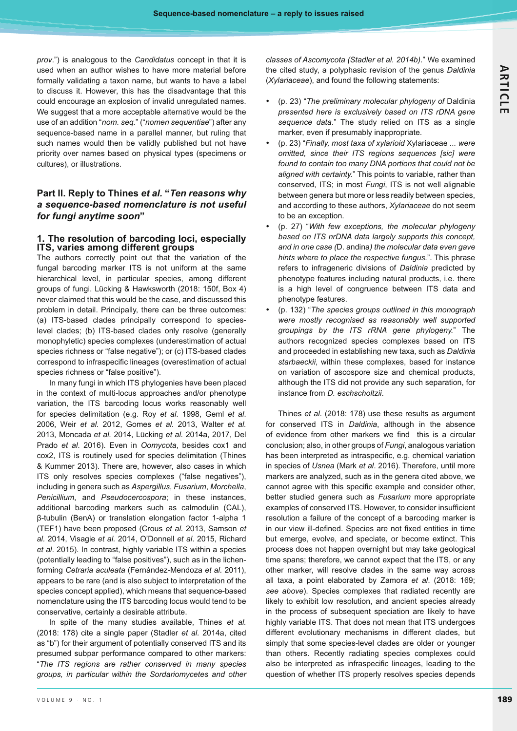*prov*.") is analogous to the *Candidatus* concept in that it is used when an author wishes to have more material before formally validating a taxon name, but wants to have a label to discuss it. However, this has the disadvantage that this could encourage an explosion of invalid unregulated names. We suggest that a more acceptable alternative would be the use of an addition "*nom. seq.*" ("*nomen sequentiae*") after any sequence-based name in a parallel manner, but ruling that such names would then be validly published but not have priority over names based on physical types (specimens or cultures), or illustrations.

# **Part II. Reply to Thines** *et al.* **"***Ten reasons why a sequence-based nomenclature is not useful for fungi anytime soon***"**

#### **1. The resolution of barcoding loci, especially ITS, varies among different groups**

The authors correctly point out that the variation of the fungal barcoding marker ITS is not uniform at the same hierarchical level, in particular species, among different groups of fungi. Lücking & Hawksworth (2018: 150f, Box 4) never claimed that this would be the case, and discussed this problem in detail. Principally, there can be three outcomes: (a) ITS-based clades principally correspond to specieslevel clades; (b) ITS-based clades only resolve (generally monophyletic) species complexes (underestimation of actual species richness or "false negative"); or (c) ITS-based clades correspond to infraspecific lineages (overestimation of actual species richness or "false positive").

In many fungi in which ITS phylogenies have been placed in the context of multi-locus approaches and/or phenotype variation, the ITS barcoding locus works reasonably well for species delimitation (e.g. Roy *et al*. 1998, Geml *et al*. 2006, Weir *et al.* 2012, Gomes *et al.* 2013, Walter *et al.* 2013, Moncada *et al.* 2014, Lücking *et al.* 2014a, 2017, Del Prado *et al*. 2016). Even in *Oomycota*, besides cox1 and cox2, ITS is routinely used for species delimitation (Thines & Kummer 2013). There are, however, also cases in which ITS only resolves species complexes ("false negatives"), including in genera such as *Aspergillus*, *Fusarium*, *Morchella*, *Penicillium*, and *Pseudocercospora*; in these instances, additional barcoding markers such as calmodulin (CAL),  $\beta$ -tubulin (BenA) or translation elongation factor 1-alpha 1 (TEF1) have been proposed (Crous *et al.* 2013, Samson *et al.* 2014, Visagie *et al.* 2014, O'Donnell *et al*. 2015, Richard *et al*. 2015). In contrast, highly variable ITS within a species (potentially leading to "false positives"), such as in the lichenforming *Cetraria aculeata* (Fernández-Mendoza et al. 2011), appears to be rare (and is also subject to interpretation of the species concept applied), which means that sequence-based nomenclature using the ITS barcoding locus would tend to be conservative, certainly a desirable attribute.

In spite of the many studies available, Thines *et al.* (2018: 178) cite a single paper (Stadler *et al.* 2014a, cited as "b") for their argument of potentially conserved ITS and its presumed subpar performance compared to other markers: "The ITS regions are rather conserved in many species *groups, in particular within the Sordariomycetes and other*  *classes of Ascomycota (Stadler et al. 2014b).*" We examined the cited study, a polyphasic revision of the genus *Daldinia* (*Xylariaceae*), and found the following statements:

- (p. 23) "*The preliminary molecular phylogeny of* Daldinia presented here is exclusively based on ITS rDNA gene *sequence data*." The study relied on ITS as a single marker, even if presumably inappropriate.
- - (p. 23) "*Finally, most taxa of xylarioid* Xylariaceae *... were*  omitted, since their ITS regions sequences [sic] were *found to contain too many DNA portions that could not be aligned with certainty.*" This points to variable, rather than conserved, ITS; in most *Fungi*, ITS is not well alignable between genera but more or less readily between species, and according to these authors, *Xylariaceae* do not seem to be an exception.
- - (p. 27) "*With few exceptions, the molecular phylogeny*  based on ITS nrDNA data largely supports this concept, *and in one case (*D. andina*) the molecular data even gave hints where to place the respective fungus.*". This phrase refers to infrageneric divisions of *Daldinia* predicted by phenotype features including natural products, i.e. there is a high level of congruence between ITS data and phenotype features.
- - (p. 132) "*The species groups outlined in this monograph were mostly recognised as reasonably well supported*  groupings by the ITS rRNA gene phylogeny." The authors recognized species complexes based on ITS and proceeded in establishing new taxa, such as *Daldinia starbaeckii*, within these complexes, based for instance on variation of ascospore size and chemical products, although the ITS did not provide any such separation, for instance from *D. eschscholtzii*.

Thines *et al*. (2018: 178) use these results as argument for conserved ITS in *Daldinia*, although in the absence of evidence from other markers we find this is a circular conclusion; also, in other groups of *Fungi*, analogous variation has been interpreted as intraspecific, e.g. chemical variation in species of *Usnea* (Mark *et al*. 2016). Therefore, until more markers are analyzed, such as in the genera cited above, we cannot agree with this specific example and consider other, better studied genera such as *Fusarium* more appropriate examples of conserved ITS. However, to consider insufficient resolution a failure of the concept of a barcoding marker is in our view ill-defined. Species are not fixed entities in time but emerge, evolve, and speciate, or become extinct. This process does not happen overnight but may take geological time spans; therefore, we cannot expect that the ITS, or any other marker, will resolve clades in the same way across all taxa, a point elaborated by Zamora *et al*. (2018: 169; *see above*). Species complexes that radiated recently are likely to exhibit low resolution, and ancient species already in the process of subsequent speciation are likely to have highly variable ITS. That does not mean that ITS undergoes different evolutionary mechanisms in different clades, but simply that some species-level clades are older or younger than others. Recently radiating species complexes could also be interpreted as infraspecific lineages, leading to the question of whether ITS properly resolves species depends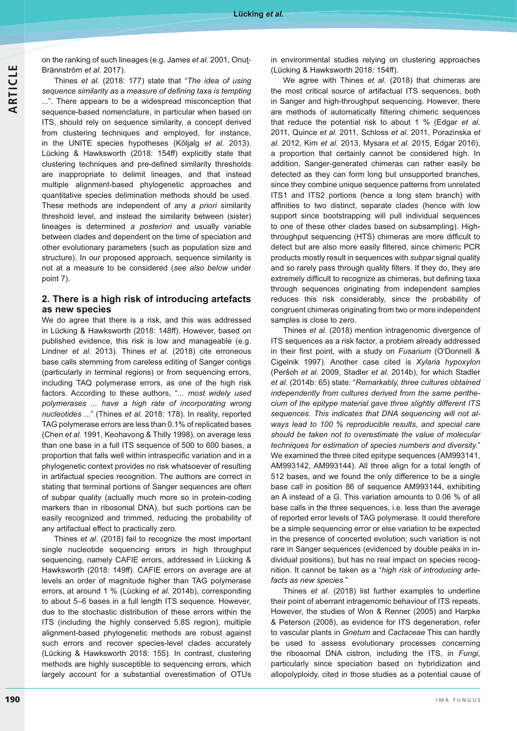on the ranking of such lineages (e.g. James *et al*. 2001, Onuţ-Brännström *et al*. 2017).

Thines *et al.* (2018: 177) state that "*The idea of using*  sequence similarity as a measure of defining taxa is tempting *...*". There appears to be a widespread misconception that sequence-based nomenclature, in particular when based on ITS, should rely on sequence similarity, a concept derived from clustering techniques and employed, for instance, in the UNITE species hypotheses (Kõljalg *et al.* 2013). Lücking & Hawksworth (2018: 154ff) explicitly state that clustering techniques and pre-defined similarity thresholds are inappropriate to delimit lineages, and that instead multiple alignment-based phylogenetic approaches and quantitative species delimination methods should be used. These methods are independent of any *a priori* similarity threshold level, and instead the similarity between (sister) lineages is determined *a posteriori* and usually variable between clades and dependent on the time of speciation and other evolutionary parameters (such as population size and structure). In our proposed approach, sequence similarity is not at a measure to be considered (*see also below* under point 7).

### **2. There is a high risk of introducing artefacts as new species**

We do agree that there is a risk, and this was addressed in Lücking & Hawksworth (2018: 148ff). However, based on published evidence, this risk is low and manageable (e.g. Lindner *et al*. 2013). Thines *et al.* (2018) cite erroneous base calls stemming from careless editing of Sanger contigs (particularly in terminal regions) or from sequencing errors, including TAQ polymerase errors, as one of the high risk factors. According to these authors, "*... most widely used polymerases ... have a high rate of incorporating wrong nucleotides ...*" (Thines *et al.* 2018: 178). In reality, reported TAG polymerase errors are less than 0.1% of replicated bases (Chen *et al.* 1991, Keohavong & Thilly 1998), on average less than one base in a full ITS sequence of 500 to 600 bases, a proportion that falls well within intraspecific variation and in a phylogenetic context provides no risk whatsoever of resulting in artifactual species recognition. The authors are correct in stating that terminal portions of Sanger sequences are often of subpar quality (actually much more so in protein-coding markers than in ribosomal DNA), but such portions can be easily recognized and trimmed, reducing the probability of any artifactual effect to practically zero.

Thines *et al*. (2018) fail to recognize the most important single nucleotide sequencing errors in high throughput sequencing, namely CAFIE errors, addressed in Lücking & Hawksworth (2018: 149ff). CAFIE errors on average are at levels an order of magnitude higher than TAG polymerase errors, at around 1 % (Lücking *et al.* 2014b), corresponding to about 5–6 bases in a full length ITS sequence. However, due to the stochastic distribution of these errors within the ITS (including the highly conserved 5.8S region), multiple alignment-based phylogenetic methods are robust against such errors and recover species-level clades accurately (Lücking & Hawksworth 2018: 155). In contrast, clustering methods are highly susceptible to sequencing errors, which largely account for a substantial overestimation of OTUs

in environmental studies relying on clustering approaches (Lücking & Hawksworth 2018: 154ff).

We agree with Thines *et al.* (2018) that chimeras are the most critical source of artifactual ITS sequences, both in Sanger and high-throughput sequencing. However, there are methods of automatically filtering chimeric sequences that reduce the potential risk to about 1 % (Edgar *et al.* 2011, Quince *et al.* 2011, Schloss *et al.* 2011, Porazinska *et al.* 2012, Kim *et al.* 2013, Mysara *et al.* 2015, Edgar 2016), a proportion that certainly cannot be considered high. In addition, Sanger-generated chimeras can rather easily be detected as they can form long but unsupported branches, since they combine unique sequence patterns from unrelated ITS1 and ITS2 portions (hence a long stem branch) with affinities to two distinct, separate clades (hence with low support since bootstrapping will pull individual sequences to one of these other clades based on subsampling). High throughput sequencing (HTS) chimeras are more difficult to detect but are also more easily filtered, since chimeric PCR products mostly result in sequences with *subpar* signal quality and so rarely pass through quality filters. If they do, they are extremely difficult to recognize as chimeras, but defining taxa through sequences originating from independent samples reduces this risk considerably, since the probability of congruent chimeras originating from two or more independent samples is close to zero.

Thines *et al.* (2018) mention intragenomic divergence of ITS sequences as a risk factor, a problem already addressed in their first point, with a study on Fusarium (O'Donnell & Cigelnik 1997). Another case cited is *Xylaria hypoxylon* (Peršoh *et al.* 2009, Stadler *et al.* 2014b), for which Stadler *et al.* (2014b: 65) state: "*Remarkably, three cultures obtained independently from cultures derived from the same perithe* cium of the epitype material gave three slightly different ITS *sequences. This indicates that DNA sequencing will not always lead to 100 % reproducible results, and special care should be taken not to overestimate the value of molecular techniques for estimation of species numbers and diversity.*" We examined the three cited epitype sequences (AM993141, AM993142, AM993144). All three align for a total length of 512 bases, and we found the only difference to be a single base call in position 86 of sequence AM993144, exhibiting an A instead of a G. This variation amounts to 0.06 % of all base calls in the three sequences, i.e. less than the average of reported error levels of TAG polymerase. It could therefore be a simple sequencing error or else variation to be expected in the presence of concerted evolution; such variation is not rare in Sanger sequences (evidenced by double peaks in individual positions), but has no real impact on species recognition. It cannot be taken as a "*high risk of introducing artefacts as new species.*"

Thines *et al.* (2018) list further examples to underline their point of aberrant intragenomic behaviour of ITS repeats. However, the studies of Won & Renner (2005) and Harpke & Peterson (2008), as evidence for ITS degeneration, refer to vascular plants in *Gnetum* and *Cactaceae* This can hardly be used to assess evolutionary processes concerning the ribosomal DNA cistron, including the ITS, in *Fungi*, particularly since speciation based on hybridization and allopolyploidy, cited in those studies as a potential cause of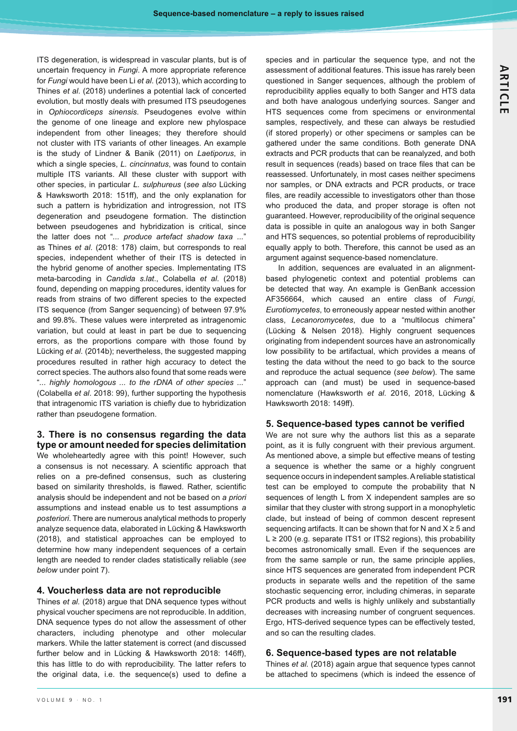ITS degeneration, is widespread in vascular plants, but is of uncertain frequency in *Fungi*. A more appropriate reference for *Fungi* would have been Li *et al*. (2013), which according to Thines *et al*. (2018) underlines a potential lack of concerted evolution, but mostly deals with presumed ITS pseudogenes in *Ophiocordiceps sinensis*. Pseudogenes evolve within the genome of one lineage and explore new phylospace independent from other lineages; they therefore should not cluster with ITS variants of other lineages. An example is the study of Lindner & Banik (2011) on *Laetiporus*, in which a single species, *L. cincinnatus*, was found to contain multiple ITS variants. All these cluster with support with other species, in particular *L. sulphureus* (*see also* Lücking & Hawksworth 2018: 151ff), and the only explanation for such a pattern is hybridization and introgression, not ITS degeneration and pseudogene formation. The distinction between pseudogenes and hybridization is critical, since the latter does not "*... produce artefact shadow taxa ...*" as Thines *et al*. (2018: 178) claim, but corresponds to real species, independent whether of their ITS is detected in the hybrid genome of another species. Implementating ITS meta-barcoding in *Candida s.lat*., Colabella *et al*. (2018) found, depending on mapping procedures, identity values for reads from strains of two different species to the expected ITS sequence (from Sanger sequencing) of between 97.9% and 99.8%. These values were interpreted as intragenomic variation, but could at least in part be due to sequencing errors, as the proportions compare with those found by Lücking *et al*. (2014b); nevertheless, the suggested mapping procedures resulted in rather high accuracy to detect the correct species. The authors also found that some reads were "*... highly homologous ... to the rDNA of other species ...*" (Colabella *et al*. 2018: 99), further supporting the hypothesis that intragenomic ITS variation is chiefly due to hybridization rather than pseudogene formation.

# **3. There is no consensus regarding the data type or amount needed for species delimitation**

We wholeheartedly agree with this point! However, such a consensus is not necessary. A scientific approach that relies on a pre-defined consensus, such as clustering based on similarity thresholds, is flawed. Rather, scientific analysis should be independent and not be based on *a priori* assumptions and instead enable us to test assumptions *a posteriori*. There are numerous analytical methods to properly analyze sequence data, elaborated in Lücking & Hawksworth (2018), and statistical approaches can be employed to determine how many independent sequences of a certain length are needed to render clades statistically reliable (*see below* under point 7).

# **4. Voucherless data are not reproducible**

Thines *et al.* (2018) argue that DNA sequence types without physical voucher specimens are not reproducible. In addition, DNA sequence types do not allow the assessment of other characters, including phenotype and other molecular markers. While the latter statement is correct (and discussed further below and in Lücking & Hawksworth 2018: 146ff), this has little to do with reproducibility. The latter refers to the original data, i.e. the sequence(s) used to define a species and in particular the sequence type, and not the assessment of additional features. This issue has rarely been questioned in Sanger sequences, although the problem of reproducibility applies equally to both Sanger and HTS data and both have analogous underlying sources. Sanger and HTS sequences come from specimens or environmental samples, respectively, and these can always be restudied (if stored properly) or other specimens or samples can be gathered under the same conditions. Both generate DNA extracts and PCR products that can be reanalyzed, and both result in sequences (reads) based on trace files that can be reassessed. Unfortunately, in most cases neither specimens nor samples, or DNA extracts and PCR products, or trace files, are readily accessible to investigators other than those who produced the data, and proper storage is often not guaranteed. However, reproducibility of the original sequence data is possible in quite an analogous way in both Sanger and HTS sequences, so potential problems of reproducibility equally apply to both. Therefore, this cannot be used as an argument against sequence-based nomenclature.

In addition, sequences are evaluated in an alignmentbased phylogenetic context and potential problems can be detected that way. An example is GenBank accession AF356664, which caused an entire class of *Fungi*, *Eurotiomycetes*, to erroneously appear nested within another class, *Lecanoromycetes*, due to a "multilocus chimera" (Lücking & Nelsen 2018). Highly congruent sequences originating from independent sources have an astronomically low possibility to be artifactual, which provides a means of testing the data without the need to go back to the source and reproduce the actual sequence (*see below*). The same approach can (and must) be used in sequence-based nomenclature (Hawksworth *et al.* 2016, 2018, Lücking & Hawksworth 2018: 149ff).

### 5. Sequence-based types cannot be verified

We are not sure why the authors list this as a separate point, as it is fully congruent with their previous argument. As mentioned above, a simple but effective means of testing a sequence is whether the same or a highly congruent sequence occurs in independent samples. A reliable statistical test can be employed to compute the probability that N sequences of length L from X independent samples are so similar that they cluster with strong support in a monophyletic clade, but instead of being of common descent represent sequencing artifacts. It can be shown that for N and  $X \geq 5$  and  $L \geq 200$  (e.g. separate ITS1 or ITS2 regions), this probability becomes astronomically small. Even if the sequences are from the same sample or run, the same principle applies, since HTS sequences are generated from independent PCR products in separate wells and the repetition of the same stochastic sequencing error, including chimeras, in separate PCR products and wells is highly unlikely and substantially decreases with increasing number of congruent sequences. Ergo, HTS-derived sequence types can be effectively tested, and so can the resulting clades.

### **6. Sequence-based types are not relatable**

Thines *et al.* (2018) again argue that sequence types cannot be attached to specimens (which is indeed the essence of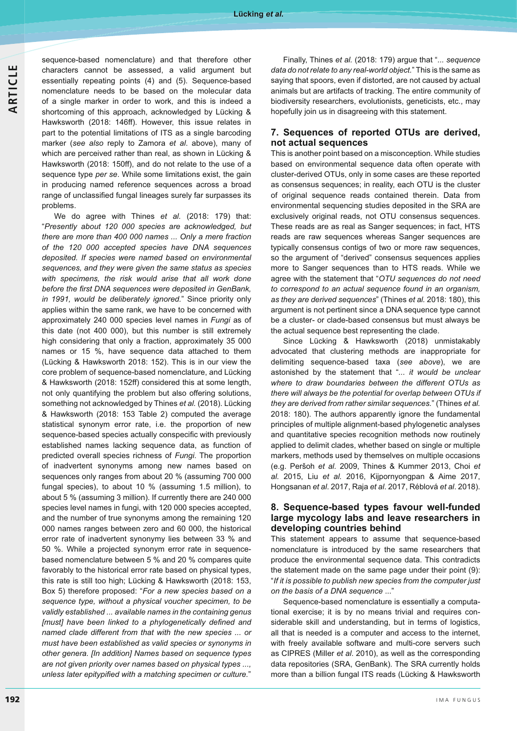sequence-based nomenclature) and that therefore other characters cannot be assessed, a valid argument but essentially repeating points (4) and (5). Sequence-based nomenclature needs to be based on the molecular data of a single marker in order to work, and this is indeed a shortcoming of this approach, acknowledged by Lücking & Hawksworth (2018: 146ff). However, this issue relates in part to the potential limitations of ITS as a single barcoding marker (*see also* reply to Zamora *et al*. above), many of which are perceived rather than real, as shown in Lücking & Hawksworth (2018: 150ff), and do not relate to the use of a sequence type *per se*. While some limitations exist, the gain in producing named reference sequences across a broad range of unclassified fungal lineages surely far surpasses its problems.

We do agree with Thines *et al.* (2018: 179) that: "*Presently about 120 000 species are acknowledged, but there are more than 400 000 names ... Only a mere fraction of the 120 000 accepted species have DNA sequences*  deposited. If species were named based on environmental *sequences, and they were given the same status as species with specimens, the risk would arise that all work done*  before the first DNA sequences were deposited in GenBank, *in 1991, would be deliberately ignored.*" Since priority only applies within the same rank, we have to be concerned with approximately 240 000 species level names in *Fungi* as of this date (not 400 000), but this number is still extremely high considering that only a fraction, approximately 35 000 names or 15 %, have sequence data attached to them (Lücking & Hawksworth 2018: 152). This is in our view the core problem of sequence-based nomenclature, and Lücking & Hawksworth (2018: 152ff) considered this at some length, not only quantifying the problem but also offering solutions, something not acknowledged by Thines *et al.* (2018). Lücking & Hawksworth (2018: 153 Table 2) computed the average statistical synonym error rate, i.e. the proportion of new sequence-based species actually conspecific with previously established names lacking sequence data, as function of predicted overall species richness of *Fungi*. The proportion of inadvertent synonyms among new names based on sequences only ranges from about 20 % (assuming 700 000 fungal species), to about 10 % (assuming 1.5 million), to about 5 % (assuming 3 million). If currently there are 240 000 species level names in fungi, with 120 000 species accepted, and the number of true synonyms among the remaining 120 000 names ranges between zero and 60 000, the historical error rate of inadvertent synonymy lies between 33 % and 50 %. While a projected synonym error rate in sequencebased nomenclature between 5 % and 20 % compares quite favorably to the historical error rate based on physical types, this rate is still too high; Lücking & Hawksworth (2018: 153, Box 5) therefore proposed: "*For a new species based on a sequence type, without a physical voucher specimen, to be validly established ... available names in the containing genus*  [must] have been linked to a phylogenetically defined and *named clade different from that with the new species ... or must have been established as valid species or synonyms in*  other genera. [In addition] Names based on sequence types *are not given priority over names based on physical types ..., unless later epitypified with a matching specimen or culture."* 

Finally, Thines *et al.* (2018: 179) argue that "*... sequence data do not relate to any real-world object.*" This is the same as saying that spoors, even if distorted, are not caused by actual animals but are artifacts of tracking. The entire community of biodiversity researchers, evolutionists, geneticists, etc., may hopefully join us in disagreeing with this statement.

### **7. Sequences of reported OTUs are derived, not actual sequences**

This is another point based on a misconception. While studies based on environmental sequence data often operate with cluster-derived OTUs, only in some cases are these reported as consensus sequences; in reality, each OTU is the cluster of original sequence reads contained therein. Data from environmental sequencing studies deposited in the SRA are exclusively original reads, not OTU consensus sequences. These reads are as real as Sanger sequences; in fact, HTS reads are raw sequences whereas Sanger sequences are typically consensus contigs of two or more raw sequences, so the argument of "derived" consensus sequences applies more to Sanger sequences than to HTS reads. While we agree with the statement that "*OTU sequences do not need to correspond to an actual sequence found in an organism, as they are derived sequences*" (Thines *et al.* 2018: 180), this argument is not pertinent since a DNA sequence type cannot be a cluster- or clade-based consensus but must always be the actual sequence best representing the clade.

Since Lücking & Hawksworth (2018) unmistakably advocated that clustering methods are inappropriate for delimiting sequence-based taxa (*see above*), we are astonished by the statement that "*... it would be unclear where to draw boundaries between the different OTUs as there will always be the potential for overlap between OTUs if they are derived from rather similar sequences.*" (Thines *et al.* 2018: 180). The authors apparently ignore the fundamental principles of multiple alignment-based phylogenetic analyses and quantitative species recognition methods now routinely applied to delimit clades, whether based on single or multiple markers, methods used by themselves on multiple occasions (e.g. Peršoh et al. 2009, Thines & Kummer 2013, Choi et *al.* 2015, Liu *et al.* 2016, Kijpornyongpan & Aime 2017, Hongsanan *et al.* 2017, Raja *et al.* 2017, Réblová *et al.* 2018).

#### **8. Sequence-based types favour well-funded large mycology labs and leave researchers in developing countries behind**

This statement appears to assume that sequence-based nomenclature is introduced by the same researchers that produce the environmental sequence data. This contradicts the statement made on the same page under their point (9): "If it is possible to publish new species from the computer just *on the basis of a DNA sequence* ..."

Sequence-based nomenclature is essentially a computational exercise; it is by no means trivial and requires considerable skill and understanding, but in terms of logistics, all that is needed is a computer and access to the internet, with freely available software and multi-core servers such as CIPRES (Miller *et al*. 2010), as well as the corresponding data repositories (SRA, GenBank). The SRA currently holds more than a billion fungal ITS reads (Lücking & Hawksworth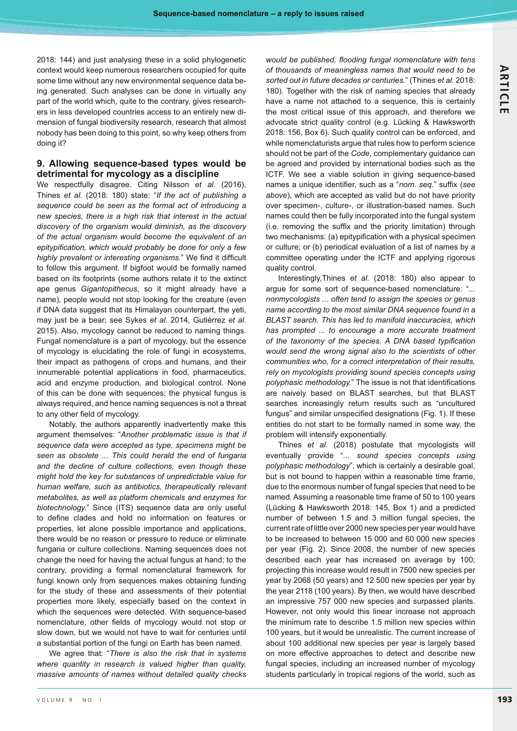2018: 144) and just analysing these in a solid phylogenetic context would keep numerous researchers occupied for quite some time without any new environmental sequence data being generated. Such analyses can be done in virtually any part of the world which, quite to the contrary, gives researchers in less developed countries access to an entirely new dimension of fungal biodiversity research, research that almost nobody has been doing to this point, so why keep others from doing it?

# **9. Allowing sequence-based types would be detrimental for mycology as a discipline**

We respectfully disagree. Citing Nilsson *et al.* (2016), Thines et al. (2018: 180) state: "If the act of publishing a *sequence could be seen as the formal act of introducing a new species, there is a high risk that interest in the actual discovery of the organism would diminish, as the discovery of the actual organism would become the equivalent of an*  epitypification, which would probably be done for only a few highly prevalent or interesting organisms." We find it difficult to follow this argument. If bigfoot would be formally named based on its footprints (some authors relate it to the extinct ape genus *Gigantopithecus*, so it might already have a name), people would not stop looking for the creature (even if DNA data suggest that its Himalayan counterpart, the yeti, may just be a bear; see Sykes *et al*. 2014, Gutiérrez *et al*. 2015). Also, mycology cannot be reduced to naming things. Fungal nomenclature is a part of mycology, but the essence of mycology is elucidating the role of fungi in ecosystems, their impact as pathogens of crops and humans, and their innumerable potential applications in food, pharmaceutics, acid and enzyme production, and biological control. None of this can be done with sequences; the physical fungus is always required, and hence naming sequences is not a threat to any other field of mycology.

Notably, the authors apparently inadvertently make this argument themselves: "*Another problematic issue is that if sequence data were accepted as type, specimens might be seen as obsolete ... This could herald the end of fungaria and the decline of culture collections, even though these might hold the key for substances of unpredictable value for human welfare, such as antibiotics, therapeutically relevant metabolites, as well as platform chemicals and enzymes for biotechnology.*" Since (ITS) sequence data are only useful to define clades and hold no information on features or properties, let alone possible importance and applications, there would be no reason or pressure to reduce or eliminate fungaria or culture collections. Naming sequences does not change the need for having the actual fungus at hand; to the contrary, providing a formal nomenclatural framework for fungi known only from sequences makes obtaining funding for the study of these and assessments of their potential properties more likely, especially based on the context in which the sequences were detected. With sequence-based nomenclature, other fields of mycology would not stop or slow down, but we would not have to wait for centuries until a substantial portion of the fungi on Earth has been named.

We agree that: "*There is also the risk that in systems where quantity in research is valued higher than quality, massive amounts of names without detailed quality checks* 

would be published, flooding fungal nomenclature with tens *of thousands of meaningless names that would need to be sorted out in future decades or centuries.*" (Thines *et al.* 2018: 180). Together with the risk of naming species that already have a name not attached to a sequence, this is certainly the most critical issue of this approach, and therefore we advocate strict quality control (e.g. Lücking & Hawksworth 2018: 156, Box 6). Such quality control can be enforced, and while nomenclaturists argue that rules how to perform science should not be part of the *Code*, complementary guidance can be agreed and provided by international bodies such as the ICTF. We see a viable solution in giving sequence-based names a unique identifier, such as a "nom. seq." suffix (see *above*), which are accepted as valid but do not have priority over specimen-, culture-, or illustration-based names. Such names could then be fully incorporated into the fungal system (i.e. removing the suffix and the priority limitation) through two mechanisms: (a) epitypification with a physical specimen or culture; or (b) periodical evaluation of a list of names by a committee operating under the ICTF and applying rigorous quality control.

Interestingly,Thines *et al.* (2018: 180) also appear to argue for some sort of sequence-based nomenclature: "*... nonmycologists ... often tend to assign the species or genus name according to the most similar DNA sequence found in a BLAST search. This has led to manifold inaccuracies, which has prompted ... to encourage a more accurate treatment*  of the taxonomy of the species. A DNA based typification *would send the wrong signal also to the scientists of other communities who, for a correct interpretation of their results, rely on mycologists providing sound species concepts using*  polyphasic methodology." The issue is not that identifications are naively based on BLAST searches, but that BLAST searches increasingly return results such as "uncultured fungus" and similar unspecified designations (Fig. 1). If these entities do not start to be formally named in some way, the problem will intensify exponentially.

Thines *et al.* (2018) postulate that mycologists will eventually provide "*... sound species concepts using polyphasic methodology*", which is certainly a desirable goal, but is not bound to happen within a reasonable time frame, due to the enormous number of fungal species that need to be named. Assuming a reasonable time frame of 50 to 100 years (Lücking & Hawksworth 2018: 145, Box 1) and a predicted number of between 1.5 and 3 million fungal species, the current rate of little over 2000 new species per year would have to be increased to between 15 000 and 60 000 new species per year (Fig. 2). Since 2008, the number of new species described each year has increased on average by 100; projecting this increase would result in 7500 new species per year by 2068 (50 years) and 12 500 new species per year by the year 2118 (100 years). By then, we would have described an impressive 757 000 new species and surpassed plants. However, not only would this linear increase not approach the minimum rate to describe 1.5 million new species within 100 years, but it would be unrealistic. The current increase of about 100 additional new species per year is largely based on more effective approaches to detect and describe new fungal species, including an increased number of mycology students particularly in tropical regions of the world, such as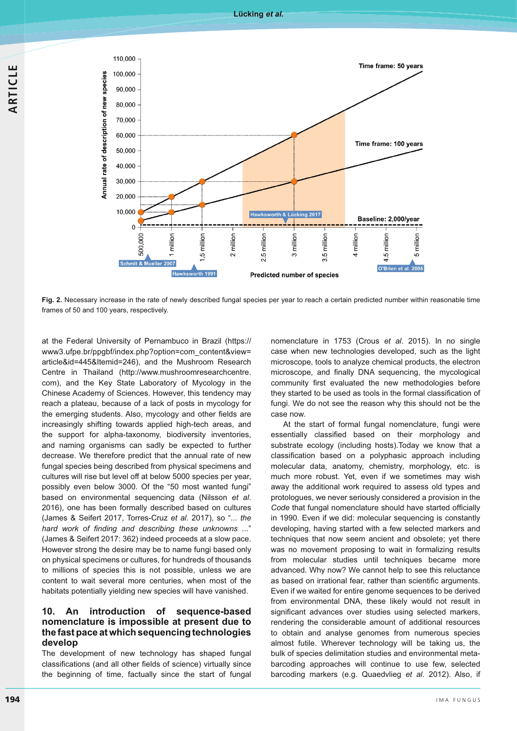



**Fig. 2.** Necessary increase in the rate of newly described fungal species per year to reach a certain predicted number within reasonable time frames of 50 and 100 years, respectively.

at the Federal University of Pernambuco in Brazil (https:// www3.ufpe.br/ppgbf/index.php?option=com\_content&view= article&id=445&Itemid=246), and the Mushroom Research Centre in Thailand (http://www.mushroomresearchcentre. com), and the Key State Laboratory of Mycology in the Chinese Academy of Sciences. However, this tendency may reach a plateau, because of a lack of posts in mycology for the emerging students. Also, mycology and other fields are increasingly shifting towards applied high-tech areas, and the support for alpha-taxonomy, biodiversity inventories, and naming organisms can sadly be expected to further decrease. We therefore predict that the annual rate of new fungal species being described from physical specimens and cultures will rise but level off at below 5000 species per year, possibly even below 3000. Of the "50 most wanted fungi" based on environmental sequencing data (Nilsson *et al*. 2016), one has been formally described based on cultures (James & Seifert 2017, Torres-Cruz *et al*. 2017), so "*... the*  hard work of finding and describing these unknowns ..." (James & Seifert 2017: 362) indeed proceeds at a slow pace. However strong the desire may be to name fungi based only on physical specimens or cultures, for hundreds of thousands to millions of species this is not possible, unless we are content to wait several more centuries, when most of the habitats potentially yielding new species will have vanished.

### **10. An introduction of sequence-based nomenclature is impossible at present due to the fast pace at which sequencing technologies develop**

The development of new technology has shaped fungal classifications (and all other fields of science) virtually since the beginning of time, factually since the start of fungal

nomenclature in 1753 (Crous *et al*. 2015). In no single case when new technologies developed, such as the light microscope, tools to analyze chemical products, the electron microscope, and finally DNA sequencing, the mycological community first evaluated the new methodologies before they started to be used as tools in the formal classification of fungi. We do not see the reason why this should not be the case now.

At the start of formal fungal nomenclature, fungi were essentially classified based on their morphology and substrate ecology (including hosts).Today we know that a classification based on a polyphasic approach including molecular data, anatomy, chemistry, morphology, etc. is much more robust. Yet, even if we sometimes may wish away the additional work required to assess old types and protologues, we never seriously considered a provision in the Code that fungal nomenclature should have started officially in 1990. Even if we did: molecular sequencing is constantly developing, having started with a few selected markers and techniques that now seem ancient and obsolete; yet there was no movement proposing to wait in formalizing results from molecular studies until techniques became more advanced. Why now? We cannot help to see this reluctance as based on irrational fear, rather than scientific arguments. Even if we waited for entire genome sequences to be derived from environmental DNA, these likely would not result in significant advances over studies using selected markers, rendering the considerable amount of additional resources to obtain and analyse genomes from numerous species almost futile. Wherever technology will be taking us, the bulk of species delimitation studies and environmental metabarcoding approaches will continue to use few, selected barcoding markers (e.g. Quaedvlieg *et al*. 2012). Also, if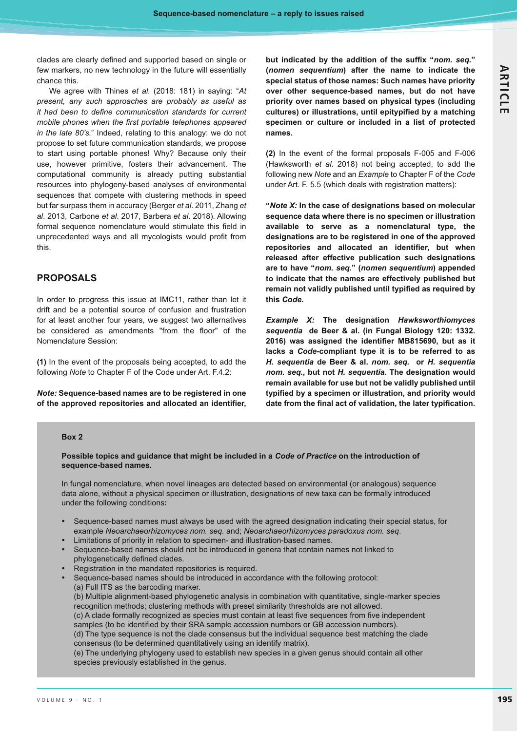clades are clearly defined and supported based on single or few markers, no new technology in the future will essentially chance this.

We agree with Thines *et al.* (2018: 181) in saying: "*At present, any such approaches are probably as useful as it had been to define communication standards for current* mobile phones when the first portable telephones appeared *in the late 80's.*" Indeed, relating to this analogy: we do not propose to set future communication standards, we propose to start using portable phones! Why? Because only their use, however primitive, fosters their advancement. The computational community is already putting substantial resources into phylogeny-based analyses of environmental sequences that compete with clustering methods in speed but far surpass them in accuracy (Berger *et al*. 2011, Zhang *et al*. 2013, Carbone *et al*. 2017, Barbera *et al*. 2018). Allowing formal sequence nomenclature would stimulate this field in unprecedented ways and all mycologists would profit from this.

## **PROPOSALS**

In order to progress this issue at IMC11, rather than let it drift and be a potential source of confusion and frustration for at least another four years, we suggest two alternatives be considered as amendments "from the floor" of the Nomenclature Session:

**(1)** In the event of the proposals being accepted, to add the following *Note* to Chapter F of the Code under Art. F.4.2:

*Note:* **Sequence-based names are to be registered in one**  of the approved repositories and allocated an identifier,

but indicated by the addition of the suffix "nom. seq." **(***nomen sequentium***) after the name to indicate the special status of those names: Such names have priority over other sequence-based names, but do not have priority over names based on physical types (including**  cultures) or illustrations, until epitypified by a matching **specimen or culture or included in a list of protected names.** 

**(2)** In the event of the formal proposals F-005 and F-006 (Hawksworth *et al*. 2018) not being accepted, to add the following new *Note* and an *Example* to Chapter F of the *Code* under Art. F. 5.5 (which deals with registration matters):

**"***Note X:* **In the case of designations based on molecular sequence data where there is no specimen or illustration available to serve as a nomenclatural type, the designations are to be registered in one of the approved**  repositories and allocated an identifier, but when **released after effective publication such designations are to have "***nom. seq.***" (***nomen sequentium***) appended to indicate that the names are effectively published but**  remain not validly published until typified as required by **this** *Code***.**

*Example X:* **The designation** *Hawksworthiomyces sequentia* **de Beer & al. (in Fungal Biology 120: 1332.**  2016) was assigned the identifier MB815690, but as it **lacks a** *Code***-compliant type it is to be referred to as**  *H. sequentia* **de Beer & al.** *nom. seq.* **or** *H. sequentia nom. seq.***, but not** *H. sequentia***. The designation would remain available for use but not be validly published until**  typified by a specimen or illustration, and priority would date from the final act of validation, the later typification.

#### **Box 2**

**Possible topics and guidance that might be included in a** *Code of Practice* **on the introduction of sequence-based names.** 

In fungal nomenclature, when novel lineages are detected based on environmental (or analogous) sequence data alone, without a physical specimen or illustration, designations of new taxa can be formally introduced under the following conditions**:**

- - Sequence-based names must always be used with the agreed designation indicating their special status, for example *Neoarchaeorhizomyces nom. seq.* and; *Neoarchaeorhizomyces paradoxus nom. seq*.
- -Limitations of priority in relation to specimen- and illustration-based names.
- - Sequence-based names should not be introduced in genera that contain names not linked to phylogenetically defined clades.
- -Registration in the mandated repositories is required.
- - Sequence-based names should be introduced in accordance with the following protocol: (a) Full ITS as the barcoding marker.

(b) Multiple alignment-based phylogenetic analysis in combination with quantitative, single-marker species recognition methods; clustering methods with preset similarity thresholds are not allowed.

(c) A clade formally recognized as species must contain at least five sequences from five independent samples (to be identified by their SRA sample accession numbers or GB accession numbers).

(d) The type sequence is not the clade consensus but the individual sequence best matching the clade consensus (to be determined quantitatively using an identify matrix).

(e) The underlying phylogeny used to establish new species in a given genus should contain all other species previously established in the genus.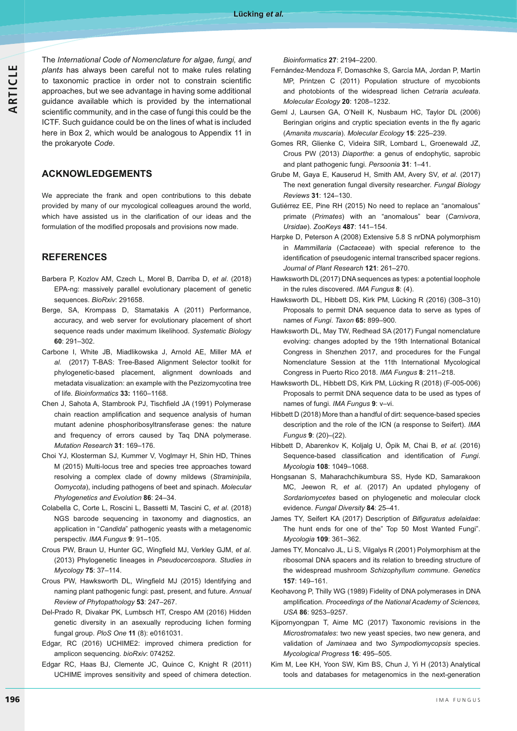The International Code of Nomenclature for algae, fungi, and *plants* has always been careful not to make rules relating to taxonomic practice in order not to constrain scientific approaches, but we see advantage in having some additional guidance available which is provided by the international scientific community, and in the case of fungi this could be the ICTF. Such guidance could be on the lines of what is included here in Box 2, which would be analogous to Appendix 11 in the prokaryote *Code*.

## **ACKNOWLEDGEMENTS**

We appreciate the frank and open contributions to this debate provided by many of our mycological colleagues around the world, which have assisted us in the clarification of our ideas and the formulation of the modified proposals and provisions now made.

# **REFERENCES**

- Barbera P, Kozlov AM, Czech L, Morel B, Darriba D, *et al*. (2018) EPA-ng: massively parallel evolutionary placement of genetic sequences. *BioRxiv*: 291658.
- Berge, SA, Krompass D, Stamatakis A (2011) Performance, accuracy, and web server for evolutionary placement of short sequence reads under maximum likelihood. *Systematic Biology* **60**: 291–302.
- Carbone I, White JB, Miadlikowska J, Arnold AE, Miller MA *et al.* (2017) T-BAS: Tree-Based Alignment Selector toolkit for phylogenetic-based placement, alignment downloads and metadata visualization: an example with the Pezizomycotina tree of life. *Bioinformatics* **33:** 1160–1168.
- Chen J, Sahota A, Stambrook PJ, Tischfield JA (1991) Polymerase chain reaction amplification and sequence analysis of human mutant adenine phosphoribosyltransferase genes: the nature and frequency of errors caused by Taq DNA polymerase. *Mutation Research* **31**: 169–176.
- Choi YJ, Klosterman SJ, Kummer V, Voglmayr H, Shin HD, Thines M (2015) Multi-locus tree and species tree approaches toward resolving a complex clade of downy mildews (*Straminipila*, *Oomycota*), including pathogens of beet and spinach. *Molecular Phylogenetics and Evolution* **86**: 24–34.
- Colabella C, Corte L, Roscini L, Bassetti M, Tascini C, *et al*. (2018) NGS barcode sequencing in taxonomy and diagnostics, an application in "*Candida*" pathogenic yeasts with a metagenomic perspectiv. *IMA Fungus* 9: 91-105.
- Crous PW, Braun U, Hunter GC, Wingfield MJ, Verkley GJM, et al. (2013) Phylogenetic lineages in *Pseudocercospora*. *Studies in Mycology* **75**: 37–114.
- Crous PW, Hawksworth DL, Wingfield MJ (2015) Identifying and naming plant pathogenic fungi: past, present, and future. *Annual Review of Phytopathology* **53**: 247–267.
- Del-Prado R, Divakar PK, Lumbsch HT, Crespo AM (2016) Hidden genetic diversity in an asexually reproducing lichen forming fungal group. *PloS One* **11** (8): e0161031.
- Edgar, RC (2016) UCHIME2: improved chimera prediction for amplicon sequencing. *bioRxiv*: 074252.
- Edgar RC, Haas BJ, Clemente JC, Quince C, Knight R (2011) UCHIME improves sensitivity and speed of chimera detection.

*Bioinformatics* **27**: 2194–2200.

- Fernández-Mendoza F, Domaschke S, García MA, Jordan P, Martín MP, Printzen C (2011) Population structure of mycobionts and photobionts of the widespread lichen *Cetraria aculeata*. *Molecular Ecology* **20**: 1208–1232.
- Geml J, Laursen GA, O'Neill K, Nusbaum HC, Taylor DL (2006) Beringian origins and cryptic speciation events in the fly agaric (*Amanita muscaria*). *Molecular Ecology* **15**: 225–239.
- Gomes RR, Glienke C, Videira SIR, Lombard L, Groenewald JZ, Crous PW (2013) *Diaporthe*: a genus of endophytic, saprobic and plant pathogenic fungi. *Persoonia* **31**: 1–41.
- Grube M, Gaya E, Kauserud H, Smith AM, Avery SV, *et al*. (2017) The next generation fungal diversity researcher. *Fungal Biology Reviews* **31**: 124–130.
- Gutiérrez EE, Pine RH (2015) No need to replace an "anomalous" primate (*Primates*) with an "anomalous" bear (*Carnivora*, *Ursidae*). *ZooKeys* **487**: 141–154.
- Harpke D, Peterson A (2008) Extensive 5.8 S nrDNA polymorphism in *Mammillaria* (*Cactaceae*) with special reference to the identification of pseudogenic internal transcribed spacer regions. *Journal of Plant Research* **121**: 261–270.
- Hawksworth DL (2017) DNA sequences as types: a potential loophole in the rules discovered. IMA Fungus 8: (4).
- Hawksworth DL, Hibbett DS, Kirk PM, Lücking R (2016) (308–310) Proposals to permit DNA sequence data to serve as types of names of *Fungi*. *Taxon* **65:** 899–900.
- Hawksworth DL, May TW, Redhead SA (2017) Fungal nomenclature evolving: changes adopted by the 19th International Botanical Congress in Shenzhen 2017, and procedures for the Fungal Nomenclature Session at the 11th International Mycological Congress in Puerto Rico 2018. IMA Fungus 8: 211-218.
- Hawksworth DL, Hibbett DS, Kirk PM, Lücking R (2018) (F-005-006) Proposals to permit DNA sequence data to be used as types of names of fungi. IMA Fungus 9: v-vi.
- Hibbett D (2018) More than a handful of dirt: sequence-based species description and the role of the ICN (a response to Seifert). *IMA Fungus* **9**: (20)–(22).
- Hibbett D, Abarenkov K, Koljalg U, Öpik M, Chai B, *et al.* (2016) Sequence-based classification and identification of Fungi. *Mycologia* **108**: 1049–1068.
- Hongsanan S, Maharachchikumbura SS, Hyde KD, Samarakoon MC, Jeewon R, *et al*. (2017) An updated phylogeny of *Sordariomycetes* based on phylogenetic and molecular clock evidence. *Fungal Diversity* **84**: 25–41.
- James TY, Seifert KA (2017) Description of *Bifiguratus adelaidae*: The hunt ends for one of the" Top 50 Most Wanted Fungi". *Mycologia* **109**: 361–362.
- James TY, Moncalvo JL, Li S, Vilgalys R (2001) Polymorphism at the ribosomal DNA spacers and its relation to breeding structure of the widespread mushroom *Schizophyllum commune*. *Genetics* **157**: 149–161.
- Keohavong P, Thilly WG (1989) Fidelity of DNA polymerases in DNA amplification. Proceedings of the National Academy of Sciences, *USA* **86**: 9253–9257.
- Kijpornyongpan T, Aime MC (2017) Taxonomic revisions in the *Microstromatales*: two new yeast species, two new genera, and validation of *Jaminaea* and two *Sympodiomycopsis* species. *Mycological Progress* **16**: 495–505.
- Kim M, Lee KH, Yoon SW, Kim BS, Chun J, Yi H (2013) Analytical tools and databases for metagenomics in the next-generation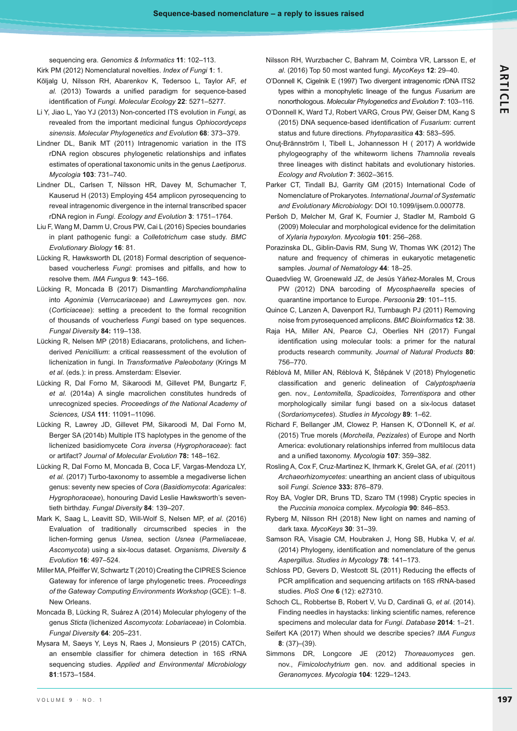sequencing era. Genomics & Informatics 11: 102-113.

- Kirk PM (2012) Nomenclatural novelties. Index of Fungi 1: 1.
- Kõljalg U, Nilsson RH, Abarenkov K, Tedersoo L, Taylor AF, *et*  al. (2013) Towards a unified paradigm for sequence-based identification of Fungi. Molecular Ecology 22: 5271–5277.
- Li Y, Jiao L, Yao YJ (2013) Non-concerted ITS evolution in *Fungi*, as revealed from the important medicinal fungus *Ophiocordyceps sinensis*. *Molecular Phylogenetics and Evolution* **68**: 373–379.
- Lindner DL, Banik MT (2011) Intragenomic variation in the ITS rDNA region obscures phylogenetic relationships and inflates estimates of operational taxonomic units in the genus *Laetiporus*. *Mycologia* **103**: 731–740.
- Lindner DL, Carlsen T, Nilsson HR, Davey M, Schumacher T, Kauserud H (2013) Employing 454 amplicon pyrosequencing to reveal intragenomic divergence in the internal transcribed spacer rDNA region in *Fungi*. *Ecology and Evolution* **3**: 1751–1764.
- Liu F, Wang M, Damm U, Crous PW, Cai L (2016) Species boundaries in plant pathogenic fungi: a *Colletotrichum* case study. *BMC Evolutionary Biology* **16**: 81.
- Lücking R, Hawksworth DL (2018) Formal description of sequencebased voucherless *Fungi*: promises and pitfalls, and how to resolve them. IMA Fungus 9: 143-166.
- Lücking R, Moncada B (2017) Dismantling *Marchandiomphalina* into *Agonimia* (*Verrucariaceae*) and *Lawreymyces* gen. nov. (*Corticiaceae*): setting a precedent to the formal recognition of thousands of voucherless *Fungi* based on type sequences. *Fungal Diversity* **84:** 119–138.
- Lücking R, Nelsen MP (2018) Ediacarans, protolichens, and lichenderived *Penicillium*: a critical reassessment of the evolution of lichenization in fungi. In *Transformative Paleobotany* (Krings M *et al*. (eds.): in press. Amsterdam: Elsevier.
- Lücking R, Dal Forno M, Sikaroodi M, Gillevet PM, Bungartz F, *et al*. (2014a) A single macrolichen constitutes hundreds of unrecognized species. *Proceedings of the National Academy of Sciences, USA* **111**: 11091–11096.
- Lücking R, Lawrey JD, Gillevet PM, Sikaroodi M, Dal Forno M, Berger SA (2014b) Multiple ITS haplotypes in the genome of the lichenized basidiomycete *Cora inversa* (*Hygrophoraceae*): fact or artifact? *Journal of Molecular Evolution* **78:** 148–162.
- Lücking R, Dal Forno M, Moncada B, Coca LF, Vargas-Mendoza LY, *et al.* (2017) Turbo-taxonomy to assemble a megadiverse lichen genus: seventy new species of *Cora* (*Basidiomycota*: *Agaricales*: *Hygrophoraceae*), honouring David Leslie Hawksworth's seventieth birthday. *Fungal Diversity* **84**: 139–207.
- Mark K, Saag L, Leavitt SD, Will-Wolf S, Nelsen MP, *et al*. (2016) Evaluation of traditionally circumscribed species in the lichen-forming genus *Usnea*, section *Usnea* (*Parmeliaceae*, *Ascomycota*) using a six-locus dataset. *Organisms, Diversity & Evolution* **16**: 497–524.
- Miller MA, Pfeiffer W, Schwartz T (2010) Creating the CIPRES Science Gateway for inference of large phylogenetic trees. *Proceedings of the Gateway Computing Environments Workshop* (GCE): 1–8. New Orleans.
- Moncada B, Lücking R, Suárez A (2014) Molecular phylogeny of the genus *Sticta* (lichenized *Ascomycota: Lobariaceae*) in Colombia. *Fungal Diversity* **64**: 205–231.
- Mysara M, Saeys Y, Leys N, Raes J, Monsieurs P (2015) CATCh, an ensemble classifier for chimera detection in 16S rRNA sequencing studies. *Applied and Environmental Microbiology* **81**:1573–1584.
- Nilsson RH, Wurzbacher C, Bahram M, Coimbra VR, Larsson E, *et al*. (2016) Top 50 most wanted fungi. *MycoKeys* **12**: 29–40.
- O'Donnell K, Cigelnik E (1997) Two divergent intragenomic rDNA ITS2 types within a monophyletic lineage of the fungus *Fusarium* are nonorthologous. *Molecular Phylogenetics and Evolution* **7**: 103–116.
- O'Donnell K, Ward TJ, Robert VARG, Crous PW, Geiser DM, Kang S (2015) DNA sequence-based identification of Fusarium: current status and future directions. *Phytoparasitica* **43**: 583–595.
- Onut-Brännström I, Tibell L, Johannesson H ( 2017) A worldwide phylogeography of the whiteworm lichens *Thamnolia* reveals three lineages with distinct habitats and evolutionary histories. *Ecology and Rvolution* **7**: 3602–3615.
- Parker CT, Tindall BJ, Garrity GM (2015) International Code of Nomenclature of Prokaryotes. International Journal of Systematic *and Evolutionary Microbiology*: DOI 10.1099/ijsem.0.000778.
- Peršoh D, Melcher M, Graf K, Fournier J, Stadler M, Rambold G (2009) Molecular and morphological evidence for the delimitation of *Xylaria hypoxylon*. *Mycologia* **101**: 256–268.
- Porazinska DL, Giblin-Davis RM, Sung W, Thomas WK (2012) The nature and frequency of chimeras in eukaryotic metagenetic samples. *Journal of Nematology* **44**: 18–25.
- Quaedvlieg W, Groenewald JZ, de Jesús Yáñez-Morales M, Crous PW (2012) DNA barcoding of *Mycosphaerella* species of quarantine importance to Europe. *Persoonia* **29**: 101–115.
- Quince C, Lanzen A, Davenport RJ, Turnbaugh PJ (2011) Removing noise from pyrosequenced amplicons. *BMC Bioinformatics* **12**: 38.
- Raja HA, Miller AN, Pearce CJ, Oberlies NH (2017) Fungal identification using molecular tools: a primer for the natural products research community. *Journal of Natural Products* **80**: 756–770.
- Réblová M, Miller AN, Réblová K, Štěpánek V (2018) Phylogenetic classification and generic delineation of Calyptosphaeria gen. nov., *Lentomitella*, *Spadicoides*, *Torrentispora* and other morphologically similar fungi based on a six-locus dataset (*Sordariomycetes*). *Studies in Mycology* **89**: 1–62.
- Richard F, Bellanger JM, Clowez P, Hansen K, O'Donnell K, *et al*. (2015) True morels (*Morchella*, *Pezizales*) of Europe and North America: evolutionary relationships inferred from multilocus data and a unified taxonomy. Mycologia 107: 359-382.
- Rosling A, Cox F, Cruz-Martinez K, Ihrmark K, Grelet GA, *et al.* (2011) *Archaeorhizomycetes*: unearthing an ancient class of ubiquitous soil *Fungi*. *Science* **333:** 876–879.
- Roy BA, Vogler DR, Bruns TD, Szaro TM (1998) Cryptic species in the *Puccinia monoica* complex. *Mycologia* **90**: 846–853.
- Ryberg M, Nilsson RH (2018) New light on names and naming of dark taxa. *MycoKeys* **30**: 31–39.
- Samson RA, Visagie CM, Houbraken J, Hong SB, Hubka V, *et al*. (2014) Phylogeny, identification and nomenclature of the genus *Aspergillus*. *Studies in Mycology* **78**: 141–173.
- Schloss PD, Gevers D, Westcott SL (2011) Reducing the effects of PCR amplification and sequencing artifacts on 16S rRNA-based studies. *PloS One* **6** (12): e27310.
- Schoch CL, Robbertse B, Robert V, Vu D, Cardinali G, *et al*. (2014). Finding needles in haystacks: linking scientific names, reference specimens and molecular data for *Fungi*. *Database* **2014**: 1–21.
- Seifert KA (2017) When should we describe species? *IMA Fungus* **8**: (37)–(39).
- Simmons DR, Longcore JE (2012) *Thoreauomyces* gen. nov., *Fimicolochytrium* gen. nov. and additional species in *Geranomyces*. *Mycologia* **104**: 1229–1243.